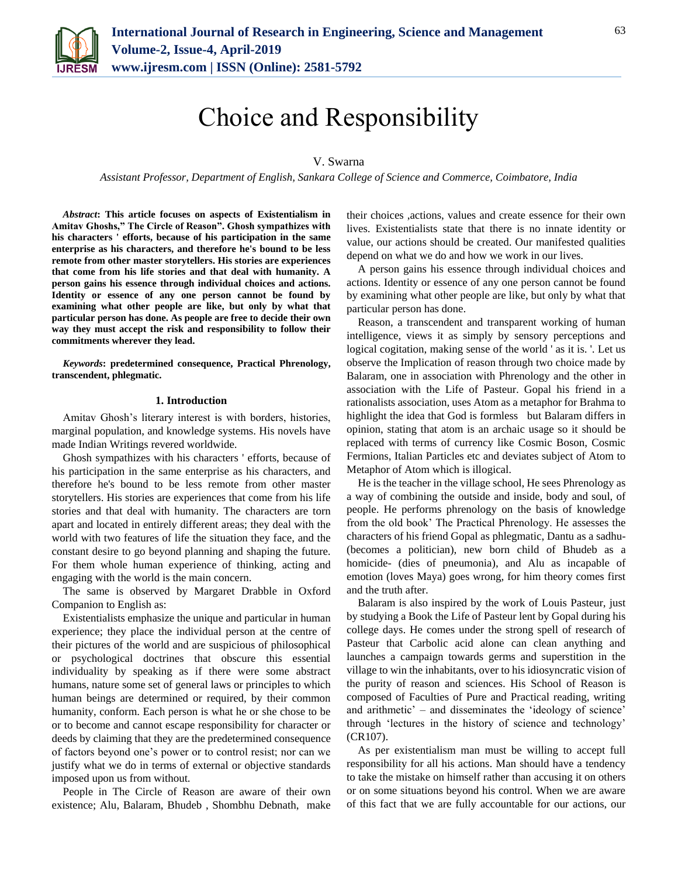

# Choice and Responsibility

## V. Swarna

*Assistant Professor, Department of English, Sankara College of Science and Commerce, Coimbatore, India*

*Abstract***: This article focuses on aspects of Existentialism in Amitav Ghoshs," The Circle of Reason". Ghosh sympathizes with his characters ' efforts, because of his participation in the same enterprise as his characters, and therefore he's bound to be less remote from other master storytellers. His stories are experiences that come from his life stories and that deal with humanity. A person gains his essence through individual choices and actions. Identity or essence of any one person cannot be found by examining what other people are like, but only by what that particular person has done. As people are free to decide their own way they must accept the risk and responsibility to follow their commitments wherever they lead.**

*Keywords***: predetermined consequence, Practical Phrenology, transcendent, phlegmatic.**

#### **1. Introduction**

Amitav Ghosh's literary interest is with borders, histories, marginal population, and knowledge systems. His novels have made Indian Writings revered worldwide.

Ghosh sympathizes with his characters ' efforts, because of his participation in the same enterprise as his characters, and therefore he's bound to be less remote from other master storytellers. His stories are experiences that come from his life stories and that deal with humanity. The characters are torn apart and located in entirely different areas; they deal with the world with two features of life the situation they face, and the constant desire to go beyond planning and shaping the future. For them whole human experience of thinking, acting and engaging with the world is the main concern.

The same is observed by Margaret Drabble in Oxford Companion to English as:

Existentialists emphasize the unique and particular in human experience; they place the individual person at the centre of their pictures of the world and are suspicious of philosophical or psychological doctrines that obscure this essential individuality by speaking as if there were some abstract humans, nature some set of general laws or principles to which human beings are determined or required, by their common humanity, conform. Each person is what he or she chose to be or to become and cannot escape responsibility for character or deeds by claiming that they are the predetermined consequence of factors beyond one's power or to control resist; nor can we justify what we do in terms of external or objective standards imposed upon us from without.

People in The Circle of Reason are aware of their own existence; Alu, Balaram, Bhudeb , Shombhu Debnath, make their choices ,actions, values and create essence for their own lives. Existentialists state that there is no innate identity or value, our actions should be created. Our manifested qualities depend on what we do and how we work in our lives.

A person gains his essence through individual choices and actions. Identity or essence of any one person cannot be found by examining what other people are like, but only by what that particular person has done.

Reason, a transcendent and transparent working of human intelligence, views it as simply by sensory perceptions and logical cogitation, making sense of the world ' as it is. '. Let us observe the Implication of reason through two choice made by Balaram, one in association with Phrenology and the other in association with the Life of Pasteur. Gopal his friend in a rationalists association, uses Atom as a metaphor for Brahma to highlight the idea that God is formless but Balaram differs in opinion, stating that atom is an archaic usage so it should be replaced with terms of currency like Cosmic Boson, Cosmic Fermions, Italian Particles etc and deviates subject of Atom to Metaphor of Atom which is illogical.

He is the teacher in the village school, He sees Phrenology as a way of combining the outside and inside, body and soul, of people. He performs phrenology on the basis of knowledge from the old book' The Practical Phrenology. He assesses the characters of his friend Gopal as phlegmatic, Dantu as a sadhu- (becomes a politician), new born child of Bhudeb as a homicide- (dies of pneumonia), and Alu as incapable of emotion (loves Maya) goes wrong, for him theory comes first and the truth after.

Balaram is also inspired by the work of Louis Pasteur, just by studying a Book the Life of Pasteur lent by Gopal during his college days. He comes under the strong spell of research of Pasteur that Carbolic acid alone can clean anything and launches a campaign towards germs and superstition in the village to win the inhabitants, over to his idiosyncratic vision of the purity of reason and sciences. His School of Reason is composed of Faculties of Pure and Practical reading, writing and arithmetic' – and disseminates the 'ideology of science' through 'lectures in the history of science and technology' (CR107).

As per existentialism man must be willing to accept full responsibility for all his actions. Man should have a tendency to take the mistake on himself rather than accusing it on others or on some situations beyond his control. When we are aware of this fact that we are fully accountable for our actions, our